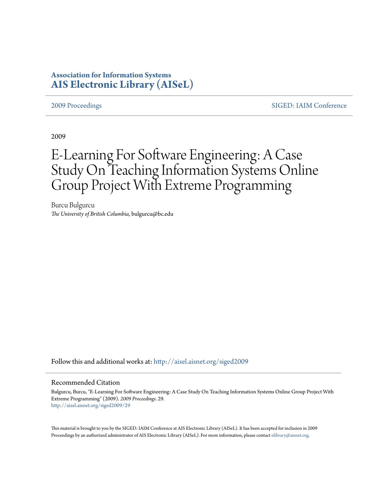# **Association for Information Systems [AIS Electronic Library \(AISeL\)](http://aisel.aisnet.org?utm_source=aisel.aisnet.org%2Fsiged2009%2F29&utm_medium=PDF&utm_campaign=PDFCoverPages)**

[2009 Proceedings](http://aisel.aisnet.org/siged2009?utm_source=aisel.aisnet.org%2Fsiged2009%2F29&utm_medium=PDF&utm_campaign=PDFCoverPages) [SIGED: IAIM Conference](http://aisel.aisnet.org/siged?utm_source=aisel.aisnet.org%2Fsiged2009%2F29&utm_medium=PDF&utm_campaign=PDFCoverPages)

2009

# E-Learning For Software Engineering: A Case Study On Teaching Information Systems Online Group Project With Extreme Programming

Burcu Bulgurcu *The University of British Columbia*, bulgurcu@bc.edu

Follow this and additional works at: [http://aisel.aisnet.org/siged2009](http://aisel.aisnet.org/siged2009?utm_source=aisel.aisnet.org%2Fsiged2009%2F29&utm_medium=PDF&utm_campaign=PDFCoverPages)

#### Recommended Citation

Bulgurcu, Burcu, "E-Learning For Software Engineering: A Case Study On Teaching Information Systems Online Group Project With Extreme Programming" (2009). *2009 Proceedings*. 29. [http://aisel.aisnet.org/siged2009/29](http://aisel.aisnet.org/siged2009/29?utm_source=aisel.aisnet.org%2Fsiged2009%2F29&utm_medium=PDF&utm_campaign=PDFCoverPages)

This material is brought to you by the SIGED: IAIM Conference at AIS Electronic Library (AISeL). It has been accepted for inclusion in 2009 Proceedings by an authorized administrator of AIS Electronic Library (AISeL). For more information, please contact [elibrary@aisnet.org](mailto:elibrary@aisnet.org%3E).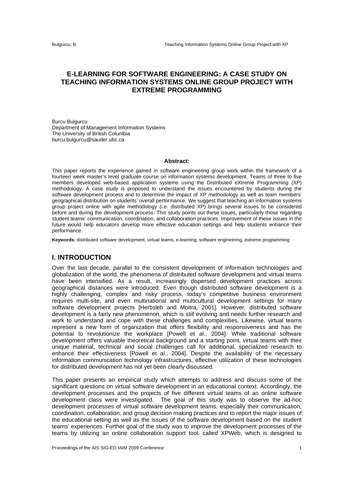# **E-LEARNING FOR SOFTWARE ENGINEERING: A CASE STUDY ON TEACHING INFORMATION SYSTEMS ONLINE GROUP PROJECT WITH EXTREME PROGRAMMING**

Burcu Bulgurcu Department of Management Information Systems The University of British Columbia burcu.bulgurcu@sauder.ubc.ca

#### **Abstract:**

This paper reports the experience gained in software engineering group work within the framework of a fourteen week master's level graduate course on information systems development. Teams of three to five members developed web-based application systems using the Distributed eXtreme Programming (XP) methodology. A case study is proposed to understand the issues encountered by students during the software development process and to determine the impact of XP methodology as well as team members' geographical distribution on students' overall performance. We suggest that teaching an information systems group project online with agile methodology (i.e. distributed XP) brings several issues to be considered before and during the development process. This study points out these issues, particularly those regarding student teams' communication, coordination, and collaboration practices. Improvement of these issues in the future would help educators develop more effective education settings and help students enhance their performance.

**Keywords:** distributed software development, virtual teams, e-learning, software engineering, extreme programming

#### **I. INTRODUCTION**

Over the last decade, parallel to the consistent development of information technologies and globalization of the world, the phenomena of distributed software development and virtual teams have been intensified. As a result, increasingly dispersed development practices across geographical distances were introduced. Even though distributed software development is a highly challenging, complex and risky process, today's competitive business environment requires multi-site, and even multinational and multicultural development settings for many software development projects [Herbsleb and Moitra, 2001]. However, distributed software development is a fairly new phenomenon, which is still evolving and needs further research and work to understand and cope with these challenges and complexities. Likewise, virtual teams represent a new form of organization that offers flexibility and responsiveness and has the potential to revolutionize the workplace [Powell et al., 2004]. While traditional software development offers valuable theoretical background and a starting point, virtual teams with their unique material, technical and social challenges call for additional, specialized research to enhance their effectiveness [Powell et al., 2004]. Despite the availability of the necessary information communication technology infrastructures, effective utilization of these technologies for distributed development has not yet been clearly discussed.

This paper presents an empirical study which attempts to address and discuss some of the significant questions on virtual software development in an educational context. Accordingly, the development processes and the projects of five different virtual teams of an online software development class were investigated. The goal of this study was to observe the ad-hoc development processes of virtual software development teams, especially their communication, coordination, collaboration, and group decision making practices and to report the major issues of the educational setting as well as the issues of the software development based on the student teams' experiences. Further goal of the study was to improve the development processes of the teams by utilizing an online collaboration support tool, called XPWeb, which is designed to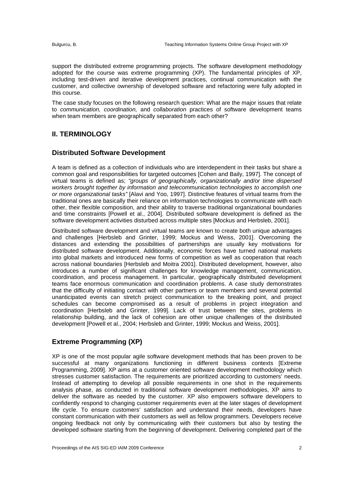support the distributed extreme programming projects. The software development methodology adopted for the course was extreme programming (XP). The fundamental principles of XP, including test-driven and iterative development practices, continual communication with the customer, and collective ownership of developed software and refactoring were fully adopted in this course.

The case study focuses on the following research question: What are the major issues that relate to *communication, coordination,* and *collaboration* practices of software development teams when team members are geographically separated from each other?

## **II. TERMINOLOGY**

### **Distributed Software Development**

A team is defined as a collection of individuals who are interdependent in their tasks but share a common goal and responsibilities for targeted outcomes [Cohen and Baily, 1997]. The concept of virtual teams is defined as; *"groups of geographically, organizationally and/or time dispersed workers brought together by information and telecommunication technologies to accomplish one or more organizational tasks"* [Alavi and Yoo, 1997]. Distinctive features of virtual teams from the traditional ones are basically their reliance on information technologies to communicate with each other, their flexible composition, and their ability to traverse traditional organizational boundaries and time constraints [Powell et al., 2004]. Distributed software development is defined as the software development activities disturbed across multiple sites [Mockus and Herbsleb, 2001].

Distributed software development and virtual teams are known to create both unique advantages and challenges [Herbsleb and Grinter, 1999; Mockus and Weiss, 2001]. Overcoming the distances and extending the possibilities of partnerships are usually key motivations for distributed software development. Additionally, economic forces have turned national markets into global markets and introduced new forms of competition as well as cooperation that reach across national boundaries [Herbsleb and Moitra 2001]. Distributed development, however, also introduces a number of significant challenges for knowledge management, communication, coordination, and process management. In particular, geographically distributed development teams face enormous communication and coordination problems. A case study demonstrates that the difficulty of initiating contact with other partners or team members and several potential unanticipated events can stretch project communication to the breaking point, and project schedules can become compromised as a result of problems in project integration and coordination [Herbsleb and Grinter, 1999]. Lack of trust between the sites, problems in relationship building, and the lack of cohesion are other unique challenges of the distributed development [Powell et al., 2004; Herbsleb and Grinter, 1999; Mockus and Weiss, 2001].

# **Extreme Programming (XP)**

XP is one of the most popular agile software development methods that has been proven to be successful at many organizations functioning in different business contexts [Extreme Programming, 2009]. XP aims at a customer oriented software development methodology which stresses customer satisfaction. The requirements are prioritized according to customers' needs. Instead of attempting to develop all possible requirements in one shot in the requirements analysis phase, as conducted in traditional software development methodologies, XP aims to deliver the software as needed by the customer. XP also empowers software developers to confidently respond to changing customer requirements even at the later stages of development life cycle. To ensure customers' satisfaction and understand their needs, developers have constant communication with their customers as well as fellow programmers. Developers receive ongoing feedback not only by communicating with their customers but also by testing the developed software starting from the beginning of development. Delivering completed part of the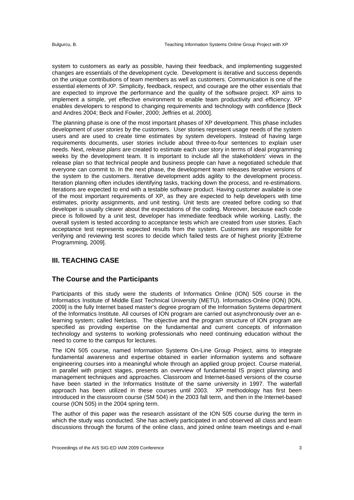system to customers as early as possible, having their feedback, and implementing suggested changes are essentials of the development cycle. Development is iterative and success depends on the unique contributions of team members as well as customers. Communication is one of the essential elements of XP. Simplicity, feedback, respect, and courage are the other essentials that are expected to improve the performance and the quality of the software project. XP aims to implement a simple, yet effective environment to enable team productivity and efficiency. XP enables developers to respond to changing requirements and technology with confidence [Beck and Andres 2004; Beck and Fowler, 2000; Jeffries et al. 2000].

The planning phase is one of the most important phases of XP development. This phase includes development of *user stories* by the customers. User stories represent usage needs of the system users and are used to create time estimates by system developers. Instead of having large requirements documents, user stories include about three-to-four sentences to explain user needs. Next, *release plans* are created to estimate each user story in terms of ideal programming weeks by the development team. It is important to include all the stakeholders' views in the release plan so that technical people and business people can have a negotiated schedule that everyone can commit to. In the next phase, the development team releases iterative versions of the system to the customers. Iterative development adds agility to the development process. Iteration planning often includes identifying tasks, tracking down the process, and re-estimations. Iterations are expected to end with a testable software product. Having customer available is one of the most important requirements of XP, as they are expected to help developers with time estimates, priority assignments, and unit testing. Unit tests are created before coding so that developer is usually clearer about the expectations of the coding. Moreover, because each code piece is followed by a unit test, developer has immediate feedback while working. Lastly, the overall system is tested according to acceptance tests which are created from user stories. Each acceptance test represents expected results from the system. Customers are responsible for verifying and reviewing test scores to decide which failed tests are of highest priority [Extreme Programming, 2009].

#### **III. TEACHING CASE**

#### **The Course and the Participants**

Participants of this study were the students of Informatics Online (ION) 505 course in the Informatics Institute of Middle East Technical University (METU). Informatics-Online (ION) [ION, 2009] is the fully Internet based master's degree program of the Information Systems department of the Informatics Institute. All courses of ION program are carried out asynchronously over an elearning system; called Netclass. The objective and the program structure of ION program are specified as providing expertise on the fundamental and current concepts of information technology and systems to working professionals who need continuing education without the need to come to the campus for lectures.

The ION 505 course, named Information Systems On-Line Group Project, aims to integrate fundamental awareness and expertise obtained in earlier information systems and software engineering courses into a meaningful whole through an applied group project. Course material, in parallel with project stages, presents an overview of fundamental IS project planning and management techniques and approaches. Classroom and Internet-based versions of the course have been started in the Informatics Institute of the same university in 1997. The waterfall approach has been utilized in these courses until 2003. XP methodology has first been introduced in the classroom course (SM 504) in the 2003 fall term, and then in the Internet-based course (ION 505) in the 2004 spring term.

The author of this paper was the research assistant of the ION 505 course during the term in which the study was conducted. She has actively participated in and observed all class and team discussions through the forums of the online class, and joined online team meetings and e-mail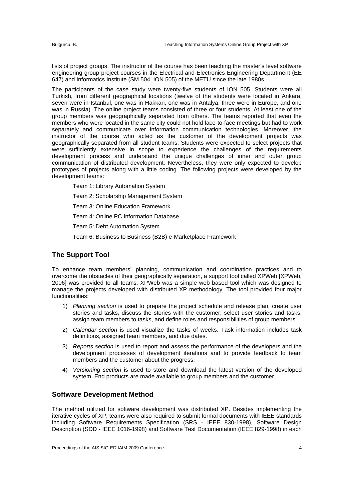lists of project groups. The instructor of the course has been teaching the master's level software engineering group project courses in the Electrical and Electronics Engineering Department (EE 647) and Informatics Institute (SM 504, ION 505) of the METU since the late 1980s.

The participants of the case study were twenty-five students of ION 505. Students were all Turkish, from different geographical locations (twelve of the students were located in Ankara, seven were in Istanbul, one was in Hakkari, one was in Antalya, three were in Europe, and one was in Russia). The online project teams consisted of three or four students. At least one of the group members was geographically separated from others. The teams reported that even the members who were located in the same city could not hold face-to-face meetings but had to work separately and communicate over information communication technologies. Moreover, the instructor of the course who acted as the customer of the development projects was geographically separated from all student teams. Students were expected to select projects that were sufficiently extensive in scope to experience the challenges of the requirements development process and understand the unique challenges of inner and outer group communication of distributed development. Nevertheless, they were only expected to develop prototypes of projects along with a little coding. The following projects were developed by the development teams:

- Team 1: Library Automation System
- Team 2: Scholarship Management System

Team 3: Online Education Framework

Team 4: Online PC Information Database

Team 5: Debt Automation System

Team 6: Business to Business (B2B) e-Marketplace Framework

#### **The Support Tool**

To enhance team members' planning, communication and coordination practices and to overcome the obstacles of their geographically separation, a support tool called XPWeb [XPWeb, 2006] was provided to all teams. XPWeb was a simple web based tool which was designed to manage the projects developed with distributed XP methodology. The tool provided four major functionalities:

- 1) *Planning section* is used to prepare the project schedule and release plan, create user stories and tasks, discuss the stories with the customer, select user stories and tasks, assign team members to tasks, and define roles and responsibilities of group members.
- 2) *Calendar section* is used visualize the tasks of weeks. Task information includes task definitions, assigned team members, and due dates.
- 3) *Reports section* is used to report and assess the performance of the developers and the development processes of development iterations and to provide feedback to team members and the customer about the progress.
- 4) *Versioning section* is used to store and download the latest version of the developed system. End products are made available to group members and the customer.

#### **Software Development Method**

The method utilized for software development was distributed XP. Besides implementing the iterative cycles of XP, teams were also required to submit formal documents with IEEE standards including Software Requirements Specification (SRS - IEEE 830-1998), Software Design Description (SDD - IEEE 1016-1998) and Software Test Documentation (IEEE 829-1998) in each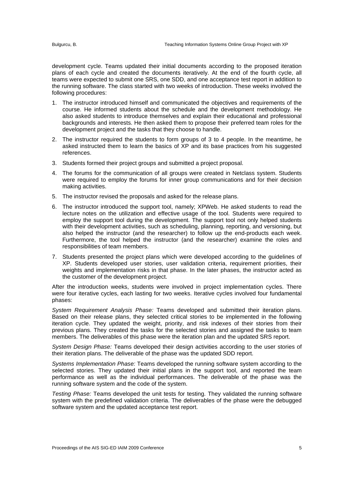development cycle. Teams updated their initial documents according to the proposed iteration plans of each cycle and created the documents iteratively. At the end of the fourth cycle, all teams were expected to submit one SRS, one SDD, and one acceptance test report in addition to the running software. The class started with two weeks of introduction. These weeks involved the following procedures:

- 1. The instructor introduced himself and communicated the objectives and requirements of the course. He informed students about the schedule and the development methodology. He also asked students to introduce themselves and explain their educational and professional backgrounds and interests. He then asked them to propose their preferred team roles for the development project and the tasks that they choose to handle.
- 2. The instructor required the students to form groups of 3 to 4 people. In the meantime, he asked instructed them to learn the basics of XP and its base practices from his suggested references.
- 3. Students formed their project groups and submitted a project proposal.
- 4. The forums for the communication of all groups were created in Netclass system. Students were required to employ the forums for inner group communications and for their decision making activities.
- 5. The instructor revised the proposals and asked for the release plans.
- 6. The instructor introduced the support tool, namely; XPWeb. He asked students to read the lecture notes on the utilization and effective usage of the tool. Students were required to employ the support tool during the development. The support tool not only helped students with their development activities, such as scheduling, planning, reporting, and versioning, but also helped the instructor (and the researcher) to follow up the end-products each week. Furthermore, the tool helped the instructor (and the researcher) examine the roles and responsibilities of team members.
- 7. Students presented the project plans which were developed according to the guidelines of XP. Students developed user stories, user validation criteria, requirement priorities, their weights and implementation risks in that phase. In the later phases, the instructor acted as the customer of the development project.

After the introduction weeks, students were involved in project implementation cycles. There were four iterative cycles, each lasting for two weeks. Iterative cycles involved four fundamental phases:

*System Requirement Analysis Phase:* Teams developed and submitted their iteration plans. Based on their release plans, they selected critical stories to be implemented in the following iteration cycle. They updated the weight, priority, and risk indexes of their stories from their previous plans. They created the tasks for the selected stories and assigned the tasks to team members. The deliverables of this phase were the iteration plan and the updated SRS report.

*System Design Phase:* Teams developed their design activities according to the user stories of their iteration plans. The deliverable of the phase was the updated SDD report.

*Systems Implementation Phase:* Teams developed the running software system according to the selected stories. They updated their initial plans in the support tool, and reported the team performance as well as the individual performances. The deliverable of the phase was the running software system and the code of the system.

*Testing Phase:* Teams developed the unit tests for testing. They validated the running software system with the predefined validation criteria. The deliverables of the phase were the debugged software system and the updated acceptance test report.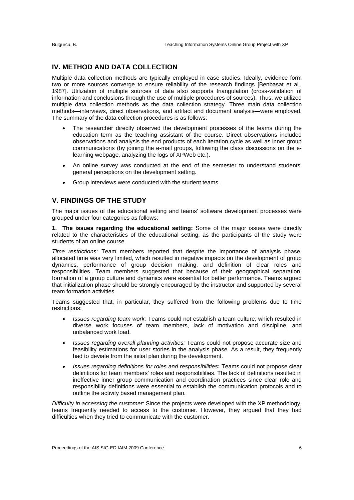#### **IV. METHOD AND DATA COLLECTION**

Multiple data collection methods are typically employed in case studies. Ideally, evidence form two or more sources converge to ensure reliability of the research findings [Benbasat et al., 1987]. Utilization of multiple sources of data also supports triangulation (cross-validation of information and conclusions through the use of multiple procedures of sources). Thus, we utilized multiple data collection methods as the data collection strategy. Three main data collection methods—interviews, direct observations, and artifact and document analysis—were employed. The summary of the data collection procedures is as follows:

- The researcher directly observed the development processes of the teams during the education term as the teaching assistant of the course. Direct observations included observations and analysis the end products of each iteration cycle as well as inner group communications (by joining the e-mail groups, following the class discussions on the elearning webpage, analyzing the logs of XPWeb etc.).
- An online survey was conducted at the end of the semester to understand students' general perceptions on the development setting.
- Group interviews were conducted with the student teams.

#### **V. FINDINGS OF THE STUDY**

The major issues of the educational setting and teams' software development processes were grouped under four categories as follows:

**1. The issues regarding the educational setting:** Some of the major issues were directly related to the characteristics of the educational setting, as the participants of the study were students of an online course.

*Time restrictions*: Team members reported that despite the importance of analysis phase, allocated time was very limited, which resulted in negative impacts on the development of group dynamics, performance of group decision making, and definition of clear roles and responsibilities. Team members suggested that because of their geographical separation, formation of a group culture and dynamics were essential for better performance. Teams argued that initialization phase should be strongly encouraged by the instructor and supported by several team formation activities.

Teams suggested that, in particular, they suffered from the following problems due to time restrictions:

- *Issues regarding team work:* Teams could not establish a team culture, which resulted in diverse work focuses of team members, lack of motivation and discipline, and unbalanced work load.
- *Issues regarding overall planning activities:* Teams could not propose accurate size and feasibility estimations for user stories in the analysis phase. As a result, they frequently had to deviate from the initial plan during the development.
- *Issues regarding definitions for roles and responsibilities***:** Teams could not propose clear definitions for team members' roles and responsibilities. The lack of definitions resulted in ineffective inner group communication and coordination practices since clear role and responsibility definitions were essential to establish the communication protocols and to outline the activity based management plan.

*Difficulty in accessing the customer*: Since the projects were developed with the XP methodology, teams frequently needed to access to the customer. However, they argued that they had difficulties when they tried to communicate with the customer.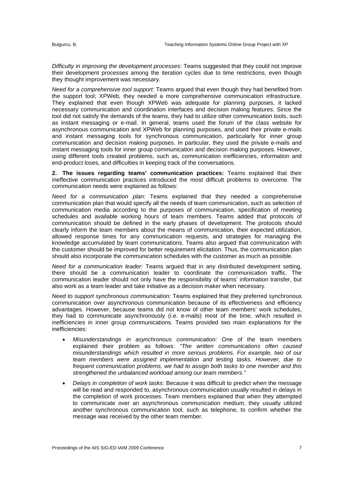*Difficulty in improving the development processes*: Teams suggested that they could not improve their development processes among the iteration cycles due to time restrictions, even though they thought improvement was necessary.

*Need for a comprehensive tool support:* Teams argued that even though they had benefited from the support tool; XPWeb, they needed a more comprehensive communication infrastructure. They explained that even though XPWeb was adequate for planning purposes, it lacked necessary communication and coordination interfaces and decision making features. Since the tool did not satisfy the demands of the teams, they had to utilize other communication tools, such as instant messaging or e-mail. In general, teams used the forum of the class website for asynchronous communication and XPWeb for planning purposes, and used their private e-mails and instant messaging tools for synchronous communication, particularly for inner group communication and decision making purposes. In particular, they used the private e-mails and instant messaging tools for inner group communication and decision making purposes. However, using different tools created problems, such as, communication inefficiencies, information and end-product loses, and difficulties in keeping track of the conversations.

**2. The issues regarding teams' communication practices:** Teams explained that their ineffective communication practices introduced the most difficult problems to overcome. The communication needs were explained as follows:

*Need for a communication plan:* Teams explained that they needed a comprehensive communication plan that would specify all the needs of team communication, such as selection of communication media according to the purposes of communication, specification of meeting schedules and available working hours of team members. Teams added that protocols of communication should be defined in the early phases of development. The protocols should clearly inform the team members about the means of communication, their expected utilization, allowed response times for any communication requests, and strategies for managing the knowledge accumulated by team communications. Teams also argued that communication with the customer should be improved for better requirement elicitation. Thus, the communication plan should also incorporate the communication schedules with the customer as much as possible.

*Need for a communication leader:* Teams argued that in any distributed development setting, there should be a communication leader to coordinate the communication traffic. The communication leader should not only have the responsibility of teams' information transfer, but also work as a team leader and take initiative as a decision maker when necessary.

*Need to support synchronous communication:* Teams explained that they preferred synchronous communication over asynchronous communication because of its effectiveness and efficiency advantages. However, because teams did not know of other team members' work schedules, they had to communicate asynchronously (i.e. e-mails) most of the time, which resulted in inefficiencies in inner group communications. Teams provided two main explanations for the inefficiencies:

- *Misunderstandings in asynchronous communication:* One of the team members explained their problem as follows: "The written communications often caused *misunderstandings which resulted in more serious problems. For example, two of our team members were assigned implementation and testing tasks. However, due to frequent communication problems, we had to assign both tasks to one member and this strengthened the unbalanced workload among our team members."*
- *Delays in completion of work tasks:* Because it was difficult to predict when the message will be read and responded to, asynchronous communication usually resulted in delays in the completion of work processes. Team members explained that when they attempted to communicate over an asynchronous communication medium, they usually utilized another synchronous communication tool, such as telephone, to confirm whether the message was received by the other team member.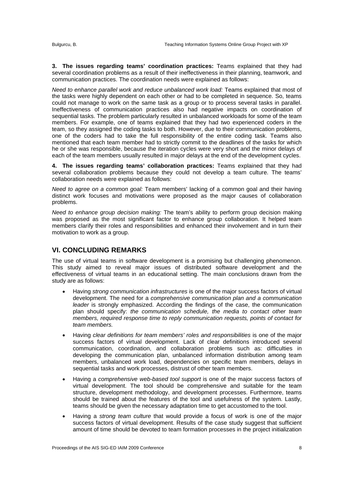**3. The issues regarding teams' coordination practices:** Teams explained that they had several coordination problems as a result of their ineffectiveness in their planning, teamwork, and communication practices. The coordination needs were explained as follows:

*Need to enhance parallel work and reduce unbalanced work load:* Teams explained that most of the tasks were highly dependent on each other or had to be completed in sequence. So, teams could not manage to work on the same task as a group or to process several tasks in parallel. Ineffectiveness of communication practices also had negative impacts on coordination of sequential tasks. The problem particularly resulted in unbalanced workloads for some of the team members. For example, one of teams explained that they had two experienced coders in the team, so they assigned the coding tasks to both. However, due to their communication problems, one of the coders had to take the full responsibility of the entire coding task. Teams also mentioned that each team member had to strictly commit to the deadlines of the tasks for which he or she was responsible, because the iteration cycles were very short and the minor delays of each of the team members usually resulted in major delays at the end of the development cycles.

**4. The issues regarding teams' collaboration practices:** Teams explained that they had several collaboration problems because they could not develop a team culture. The teams' collaboration needs were explained as follows:

*Need to agree on a common goal:* Team members' lacking of a common goal and their having distinct work focuses and motivations were proposed as the major causes of collaboration problems.

*Need to enhance group decision making:* The team's ability to perform group decision making was proposed as the most significant factor to enhance group collaboration. It helped team members clarify their roles and responsibilities and enhanced their involvement and in turn their motivation to work as a group.

# **VI. CONCLUDING REMARKS**

The use of virtual teams in software development is a promising but challenging phenomenon. This study aimed to reveal major issues of distributed software development and the effectiveness of virtual teams in an educational setting. The main conclusions drawn from the study are as follows:

- Having *strong communication infrastructures* is one of the major success factors of virtual development. The need for a *comprehensive communication plan and a communication leader* is strongly emphasized. According the findings of the case, the communication plan should specify: *the communication schedule, the media to contact other team members, required response time to reply communication requests, points of contact for team members.*
- Having *clear definitions for team members' roles and responsibilities* is one of the major success factors of virtual development. Lack of clear definitions introduced several communication, coordination, and collaboration problems such as: difficulties in developing the communication plan, unbalanced information distribution among team members, unbalanced work load, dependencies on specific team members, delays in sequential tasks and work processes, distrust of other team members.
- Having a *comprehensive web-based tool support* is one of the major success factors of virtual development. The tool should be comprehensive and suitable for the team structure, development methodology, and development processes. Furthermore, teams should be trained about the features of the tool and usefulness of the system. Lastly, teams should be given the necessary adaptation time to get accustomed to the tool.
- Having a *strong team culture* that would provide a focus of work is one of the major success factors of virtual development. Results of the case study suggest that sufficient amount of time should be devoted to team formation processes in the project initialization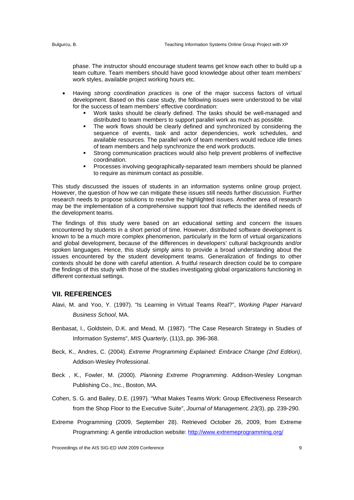phase. The instructor should encourage student teams get know each other to build up a team culture. Team members should have good knowledge about other team members' work styles, available project working hours etc.

- Having *strong coordination practices* is one of the major success factors of virtual development. Based on this case study, the following issues were understood to be vital for the success of team members' effective coordination:
	- Work tasks should be clearly defined. The tasks should be well-managed and distributed to team members to support parallel work as much as possible.
	- The work flows should be clearly defined and synchronized by considering the sequence of events, task and actor dependencies, work schedules, and available resources. The parallel work of team members would reduce idle times of team members and help synchronize the end work products.
	- Strong communication practices would also help prevent problems of ineffective coordination.
	- Processes involving geographically-separated team members should be planned to require as minimum contact as possible.

This study discussed the issues of students in an information systems online group project. However, the question of how we can mitigate these issues still needs further discussion. Further research needs to propose solutions to resolve the highlighted issues. Another area of research may be the implementation of a comprehensive support tool that reflects the identified needs of the development teams.

The findings of this study were based on an educational setting and concern the issues encountered by students in a short period of time. However, distributed software development is known to be a much more complex phenomenon, particularly in the form of virtual organizations and global development, because of the differences in developers' cultural backgrounds and/or spoken languages. Hence, this study simply aims to provide a broad understanding about the issues encountered by the student development teams. Generalization of findings to other contexts should be done with careful attention. A fruitful research direction could be to compare the findings of this study with those of the studies investigating global organizations functioning in different contextual settings.

#### **VII. REFERENCES**

- Alavi, M. and Yoo, Y. (1997). "Is Learning in Virtual Teams Real?", *Working Paper Harvard Business School*, MA.
- Benbasat, I., Goldstein, D.K. and Mead, M. (1987). "The Case Research Strategy in Studies of Information Systems", *MIS Quarterly*, (11)3, pp. 396-368.
- Beck, K., Andres, C. (2004). *Extreme Programming Explained: Embrace Change (2nd Edition)*, Addison-Wesley Professional.
- Beck , K., Fowler, M. (2000). *Planning Extreme Programming*. Addison-Wesley Longman Publishing Co., Inc., Boston, MA.
- Cohen, S. G. and Bailey, D.E. (1997). "What Makes Teams Work: Group Effectiveness Research from the Shop Floor to the Executive Suite", *Journal of Management, 23(*3), pp. 239-290.
- Extreme Programming (2009, September 28). Retrieved October 26, 2009, from Extreme Programming: A gentle introduction website: http://www.extremeprogramming.org/